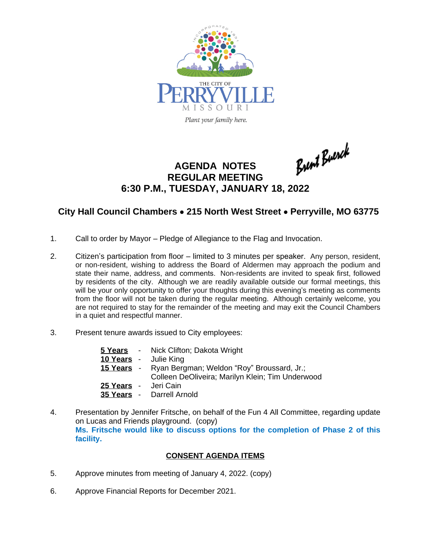

Brent Buerch

## **AGENDA NOTES REGULAR MEETING 6:30 P.M., TUESDAY, JANUARY 18, 2022**

## **City Hall Council Chambers** · **215 North West Street** · **Perryville, MO 63775**

- 1. Call to order by Mayor Pledge of Allegiance to the Flag and Invocation.
- 2. Citizen's participation from floor limited to 3 minutes per speaker. Any person, resident, or non-resident, wishing to address the Board of Aldermen may approach the podium and state their name, address, and comments. Non-residents are invited to speak first, followed by residents of the city. Although we are readily available outside our formal meetings, this will be your only opportunity to offer your thoughts during this evening's meeting as comments from the floor will not be taken during the regular meeting. Although certainly welcome, you are not required to stay for the remainder of the meeting and may exit the Council Chambers in a quiet and respectful manner.
- 3. Present tenure awards issued to City employees:

|                      | <b>5 Years</b> - Nick Clifton; Dakota Wright          |
|----------------------|-------------------------------------------------------|
|                      | 10 Years - Julie King                                 |
|                      | 15 Years - Ryan Bergman; Weldon "Roy" Broussard, Jr.; |
|                      | Colleen DeOliveira; Marilyn Klein; Tim Underwood      |
| 25 Years - Jeri Cain |                                                       |
|                      | 35 Years - Darrell Arnold                             |

4. Presentation by Jennifer Fritsche, on behalf of the Fun 4 All Committee, regarding update on Lucas and Friends playground. (copy) **Ms. Fritsche would like to discuss options for the completion of Phase 2 of this facility.** 

## **CONSENT AGENDA ITEMS**

- 5. Approve minutes from meeting of January 4, 2022. (copy)
- 6. Approve Financial Reports for December 2021.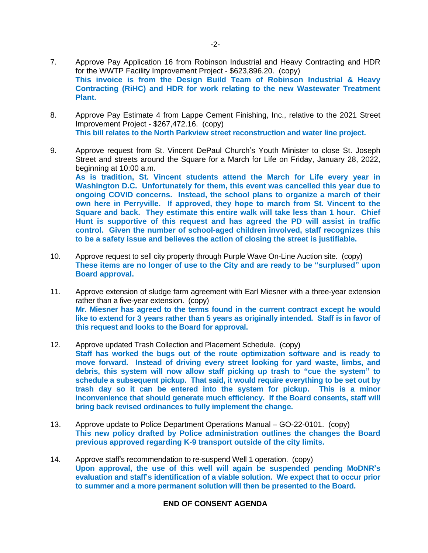- 7. Approve Pay Application 16 from Robinson Industrial and Heavy Contracting and HDR for the WWTP Facility Improvement Project - \$623,896.20. (copy) **This invoice is from the Design Build Team of Robinson Industrial & Heavy Contracting (RiHC) and HDR for work relating to the new Wastewater Treatment Plant.**
- 8. Approve Pay Estimate 4 from Lappe Cement Finishing, Inc., relative to the 2021 Street Improvement Project - \$267,472.16. (copy) **This bill relates to the North Parkview street reconstruction and water line project.**
- 9. Approve request from St. Vincent DePaul Church's Youth Minister to close St. Joseph Street and streets around the Square for a March for Life on Friday, January 28, 2022, beginning at 10:00 a.m. **As is tradition, St. Vincent students attend the March for Life every year in Washington D.C. Unfortunately for them, this event was cancelled this year due to ongoing COVID concerns. Instead, the school plans to organize a march of their own here in Perryville. If approved, they hope to march from St. Vincent to the Square and back. They estimate this entire walk will take less than 1 hour. Chief Hunt is supportive of this request and has agreed the PD will assist in traffic control. Given the number of school-aged children involved, staff recognizes this to be a safety issue and believes the action of closing the street is justifiable.**
- 10. Approve request to sell city property through Purple Wave On-Line Auction site. (copy) **These items are no longer of use to the City and are ready to be "surplused" upon Board approval.**
- 11. Approve extension of sludge farm agreement with Earl Miesner with a three-year extension rather than a five-year extension. (copy) **Mr. Miesner has agreed to the terms found in the current contract except he would like to extend for 3 years rather than 5 years as originally intended. Staff is in favor of this request and looks to the Board for approval.**
- 12. Approve updated Trash Collection and Placement Schedule. (copy) **Staff has worked the bugs out of the route optimization software and is ready to move forward. Instead of driving every street looking for yard waste, limbs, and debris, this system will now allow staff picking up trash to "cue the system" to schedule a subsequent pickup. That said, it would require everything to be set out by trash day so it can be entered into the system for pickup. This is a minor inconvenience that should generate much efficiency. If the Board consents, staff will bring back revised ordinances to fully implement the change.**
- 13. Approve update to Police Department Operations Manual GO-22-0101. (copy) **This new policy drafted by Police administration outlines the changes the Board previous approved regarding K-9 transport outside of the city limits.**
- 14. Approve staff's recommendation to re-suspend Well 1 operation. (copy) **Upon approval, the use of this well will again be suspended pending MoDNR's evaluation and staff's identification of a viable solution. We expect that to occur prior to summer and a more permanent solution will then be presented to the Board.**

## **END OF CONSENT AGENDA**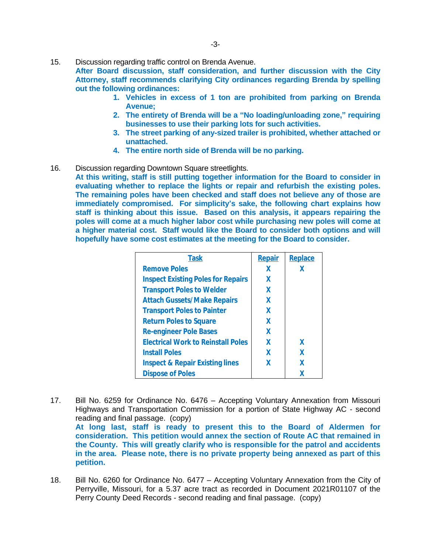15. Discussion regarding traffic control on Brenda Avenue.

**After Board discussion, staff consideration, and further discussion with the City Attorney, staff recommends clarifying City ordinances regarding Brenda by spelling out the following ordinances:**

- **1. Vehicles in excess of 1 ton are prohibited from parking on Brenda Avenue;**
- **2. The entirety of Brenda will be a "No loading/unloading zone, " requiring businesses to use their parking lots for such activities.**
- **3. The street parking of any-sized trailer is prohibited, whether attached or unattached.**
- **4. The entire north side of Brenda will be no parking.**
- 16. Discussion regarding Downtown Square streetlights.

**At this writing, staff is still putting together information for the Board to consider in evaluating whether to replace the lights or repair and refurbish the existing poles. The remaining poles have been checked and staff does not believe any of those are immediately compromised. For simplicity's sake, the following chart explains how staff is thinking about this issue. Based on this analysis, it appears repairing the poles will come at a much higher labor cost while purchasing new poles will come at a higher material cost. Staff would like the Board to consider both options and will hopefully have some cost estimates at the meeting for the Board to consider.**

| Task                                       | <b>Repair</b> | <b>Replace</b> |
|--------------------------------------------|---------------|----------------|
| <b>Remove Poles</b>                        | x             | X              |
| <b>Inspect Existing Poles for Repairs</b>  | X             |                |
| <b>Transport Poles to Welder</b>           | X             |                |
| <b>Attach Gussets/Make Repairs</b>         | X             |                |
| <b>Transport Poles to Painter</b>          | X             |                |
| <b>Return Poles to Square</b>              | X             |                |
| <b>Re-engineer Pole Bases</b>              | X             |                |
| <b>Electrical Work to Reinstall Poles</b>  | X             | X              |
| <b>Install Poles</b>                       | X             | X              |
| <b>Inspect &amp; Repair Existing lines</b> | X             | X              |
| <b>Dispose of Poles</b>                    |               | χ              |

- 17. Bill No. 6259 for Ordinance No. 6476 Accepting Voluntary Annexation from Missouri Highways and Transportation Commission for a portion of State Highway AC - second reading and final passage. (copy) **At long last, staff is ready to present this to the Board of Aldermen for consideration. This petition would annex the section of Route AC that remained in the County. This will greatly clarify who is responsible for the patrol and accidents in the area. Please note, there is no private property being annexed as part of this petition.**
- 18. Bill No. 6260 for Ordinance No. 6477 Accepting Voluntary Annexation from the City of Perryville, Missouri, for a 5.37 acre tract as recorded in Document 2021R01107 of the Perry County Deed Records - second reading and final passage. (copy)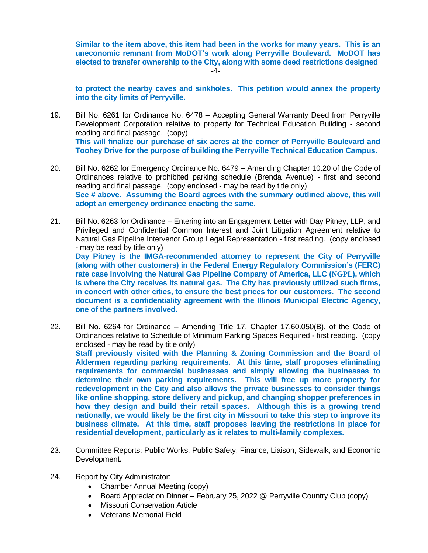**Similar to the item above, this item had been in the works for many years. This is an uneconomic remnant from MoDOT's work along Perryville Boulevard. MoDOT has elected to transfer ownership to the City, along with some deed restrictions designed** -4-

**to protect the nearby caves and sinkholes. This petition would annex the property into the city limits of Perryville.**

- 19. Bill No. 6261 for Ordinance No. 6478 Accepting General Warranty Deed from Perryville Development Corporation relative to property for Technical Education Building - second reading and final passage. (copy) **This will finalize our purchase of six acres at the corner of Perryville Boulevard and Toohey Drive for the purpose of building the Perryville Technical Education Campus.**
- 20. Bill No. 6262 for Emergency Ordinance No. 6479 Amending Chapter 10.20 of the Code of Ordinances relative to prohibited parking schedule (Brenda Avenue) - first and second reading and final passage. (copy enclosed - may be read by title only) **See # above. Assuming the Board agrees with the summary outlined above, this will adopt an emergency ordinance enacting the same.**
- 21. Bill No. 6263 for Ordinance Entering into an Engagement Letter with Day Pitney, LLP, and Privileged and Confidential Common Interest and Joint Litigation Agreement relative to Natural Gas Pipeline Intervenor Group Legal Representation - first reading. (copy enclosed - may be read by title only) **Day Pitney is the IMGA-recommended attorney to represent the City of Perryville**

**(along with other customers) in the Federal Energy Regulatory Commission's (FERC) rate case involving the Natural Gas Pipeline Company of America, LLC (NGPL), which is where the City receives its natural gas. The City has previously utilized such firms, in concert with other cities, to ensure the best prices for our customers. The second document is a confidentiality agreement with the Illinois Municipal Electric Agency, one of the partners involved.**

- 22. Bill No. 6264 for Ordinance Amending Title 17, Chapter 17.60.050(B), of the Code of Ordinances relative to Schedule of Minimum Parking Spaces Required - first reading. (copy enclosed - may be read by title only) **Staff previously visited with the Planning & Zoning Commission and the Board of Aldermen regarding parking requirements. At this time, staff proposes eliminating requirements for commercial businesses and simply allowing the businesses to determine their own parking requirements. This will free up more property for redevelopment in the City and also allows the private businesses to consider things like online shopping, store delivery and pickup, and changing shopper preferences in how they design and build their retail spaces. Although this is a growing trend nationally, we would likely be the first city in Missouri to take this step to improve its business climate. At this time, staff proposes leaving the restrictions in place for residential development, particularly as it relates to multi-family complexes.**
- 23. Committee Reports: Public Works, Public Safety, Finance, Liaison, Sidewalk, and Economic Development.
- 24. Report by City Administrator:
	- Chamber Annual Meeting (copy)
	- Board Appreciation Dinner February 25, 2022 @ Perryville Country Club (copy)
	- Missouri Conservation Article
	- Veterans Memorial Field